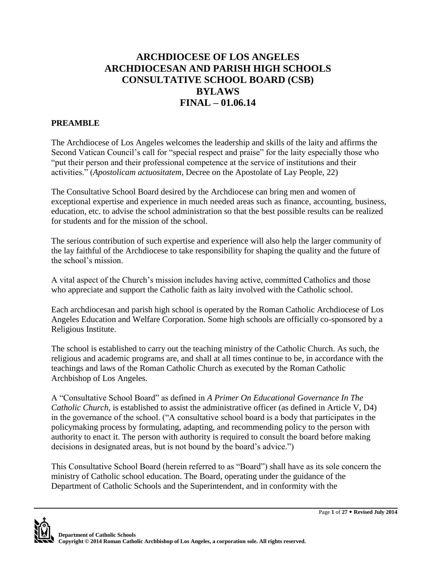# **ARCHDIOCESE OF LOS ANGELES ARCHDIOCESAN AND PARISH HIGH SCHOOLS CONSULTATIVE SCHOOL BOARD (CSB) BYLAWS FINAL – 01.06.14**

# **PREAMBLE**

The Archdiocese of Los Angeles welcomes the leadership and skills of the laity and affirms the Second Vatican Council's call for "special respect and praise" for the laity especially those who "put their person and their professional competence at the service of institutions and their activities." (*Apostolicam actuositatem*, Decree on the Apostolate of Lay People, 22)

The Consultative School Board desired by the Archdiocese can bring men and women of exceptional expertise and experience in much needed areas such as finance, accounting, business, education, etc. to advise the school administration so that the best possible results can be realized for students and for the mission of the school.

The serious contribution of such expertise and experience will also help the larger community of the lay faithful of the Archdiocese to take responsibility for shaping the quality and the future of the school's mission.

A vital aspect of the Church's mission includes having active, committed Catholics and those who appreciate and support the Catholic faith as laity involved with the Catholic school.

Each archdiocesan and parish high school is operated by the Roman Catholic Archdiocese of Los Angeles Education and Welfare Corporation. Some high schools are officially co-sponsored by a Religious Institute.

The school is established to carry out the teaching ministry of the Catholic Church. As such, the religious and academic programs are, and shall at all times continue to be, in accordance with the teachings and laws of the Roman Catholic Church as executed by the Roman Catholic Archbishop of Los Angeles.

A "Consultative School Board" as defined in *A Primer On Educational Governance In The Catholic Church*, is established to assist the administrative officer (as defined in Article V, D4) in the governance of the school. ("A consultative school board is a body that participates in the policymaking process by formulating, adapting, and recommending policy to the person with authority to enact it. The person with authority is required to consult the board before making decisions in designated areas, but is not bound by the board's advice.")

This Consultative School Board (herein referred to as "Board") shall have as its sole concern the ministry of Catholic school education. The Board, operating under the guidance of the Department of Catholic Schools and the Superintendent, and in conformity with the

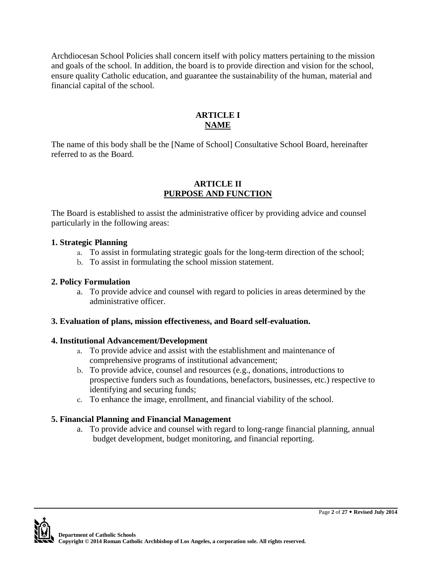Archdiocesan School Policies shall concern itself with policy matters pertaining to the mission and goals of the school. In addition, the board is to provide direction and vision for the school, ensure quality Catholic education, and guarantee the sustainability of the human, material and financial capital of the school.

# **ARTICLE I NAME**

The name of this body shall be the [Name of School] Consultative School Board, hereinafter referred to as the Board.

### **ARTICLE II PURPOSE AND FUNCTION**

The Board is established to assist the administrative officer by providing advice and counsel particularly in the following areas:

### **1. Strategic Planning**

- a. To assist in formulating strategic goals for the long-term direction of the school;
- b. To assist in formulating the school mission statement.

## **2. Policy Formulation**

a. To provide advice and counsel with regard to policies in areas determined by the administrative officer.

### **3. Evaluation of plans, mission effectiveness, and Board self-evaluation.**

### **4. Institutional Advancement/Development**

- a. To provide advice and assist with the establishment and maintenance of comprehensive programs of institutional advancement;
- b. To provide advice, counsel and resources (e.g., donations, introductions to prospective funders such as foundations, benefactors, businesses, etc.) respective to identifying and securing funds;
- c. To enhance the image, enrollment, and financial viability of the school.

# **5. Financial Planning and Financial Management**

a. To provide advice and counsel with regard to long-range financial planning, annual budget development, budget monitoring, and financial reporting.

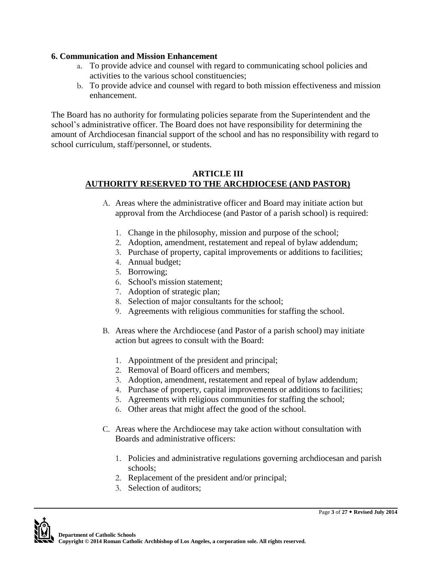### **6. Communication and Mission Enhancement**

- a. To provide advice and counsel with regard to communicating school policies and activities to the various school constituencies;
- b. To provide advice and counsel with regard to both mission effectiveness and mission enhancement.

The Board has no authority for formulating policies separate from the Superintendent and the school's administrative officer. The Board does not have responsibility for determining the amount of Archdiocesan financial support of the school and has no responsibility with regard to school curriculum, staff/personnel, or students.

#### **ARTICLE III AUTHORITY RESERVED TO THE ARCHDIOCESE (AND PASTOR)**

- A. Areas where the administrative officer and Board may initiate action but approval from the Archdiocese (and Pastor of a parish school) is required:
	- 1. Change in the philosophy, mission and purpose of the school;
	- 2. Adoption, amendment, restatement and repeal of bylaw addendum;
	- 3. Purchase of property, capital improvements or additions to facilities;
	- 4. Annual budget;
	- 5. Borrowing;
	- 6. School's mission statement;
	- 7. Adoption of strategic plan;
	- 8. Selection of major consultants for the school;
	- 9. Agreements with religious communities for staffing the school.
- B. Areas where the Archdiocese (and Pastor of a parish school) may initiate action but agrees to consult with the Board:
	- 1. Appointment of the president and principal;
	- 2. Removal of Board officers and members;
	- 3. Adoption, amendment, restatement and repeal of bylaw addendum;
	- 4. Purchase of property, capital improvements or additions to facilities;
	- 5. Agreements with religious communities for staffing the school;
	- 6. Other areas that might affect the good of the school.
- C. Areas where the Archdiocese may take action without consultation with Boards and administrative officers:
	- 1. Policies and administrative regulations governing archdiocesan and parish schools;
	- 2. Replacement of the president and/or principal;
	- 3. Selection of auditors;

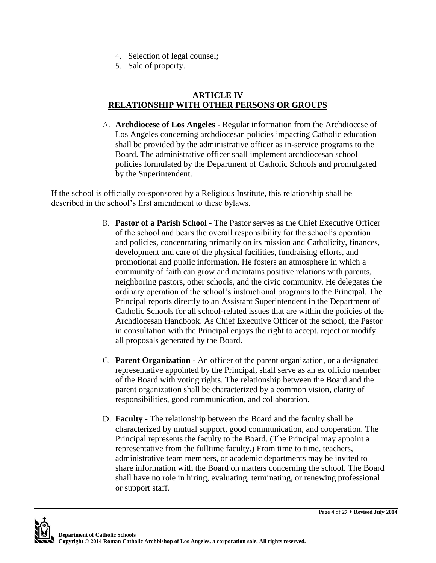- 4. Selection of legal counsel;
- 5. Sale of property.

# **ARTICLE IV RELATIONSHIP WITH OTHER PERSONS OR GROUPS**

A. **Archdiocese of Los Angeles** - Regular information from the Archdiocese of Los Angeles concerning archdiocesan policies impacting Catholic education shall be provided by the administrative officer as in-service programs to the Board. The administrative officer shall implement archdiocesan school policies formulated by the Department of Catholic Schools and promulgated by the Superintendent.

If the school is officially co-sponsored by a Religious Institute, this relationship shall be described in the school's first amendment to these bylaws.

- B. **Pastor of a Parish School** The Pastor serves as the Chief Executive Officer of the school and bears the overall responsibility for the school's operation and policies, concentrating primarily on its mission and Catholicity, finances, development and care of the physical facilities, fundraising efforts, and promotional and public information. He fosters an atmosphere in which a community of faith can grow and maintains positive relations with parents, neighboring pastors, other schools, and the civic community. He delegates the ordinary operation of the school's instructional programs to the Principal. The Principal reports directly to an Assistant Superintendent in the Department of Catholic Schools for all school-related issues that are within the policies of the Archdiocesan Handbook. As Chief Executive Officer of the school, the Pastor in consultation with the Principal enjoys the right to accept, reject or modify all proposals generated by the Board.
- C. **Parent Organization**  An officer of the parent organization, or a designated representative appointed by the Principal, shall serve as an ex officio member of the Board with voting rights. The relationship between the Board and the parent organization shall be characterized by a common vision, clarity of responsibilities, good communication, and collaboration.
- D. **Faculty**  The relationship between the Board and the faculty shall be characterized by mutual support, good communication, and cooperation. The Principal represents the faculty to the Board. (The Principal may appoint a representative from the fulltime faculty.) From time to time, teachers, administrative team members, or academic departments may be invited to share information with the Board on matters concerning the school. The Board shall have no role in hiring, evaluating, terminating, or renewing professional or support staff.

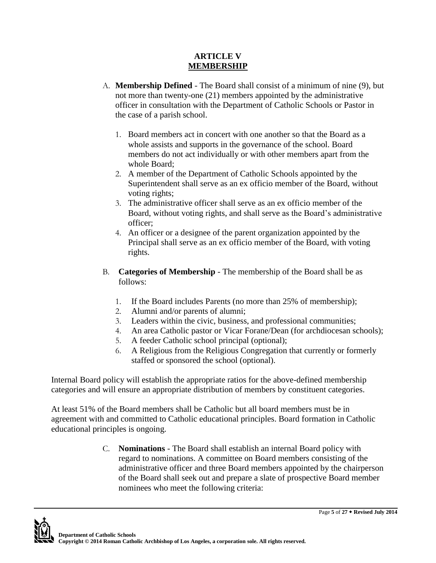### **ARTICLE V MEMBERSHIP**

- A. **Membership Defined**  The Board shall consist of a minimum of nine (9), but not more than twenty-one (21) members appointed by the administrative officer in consultation with the Department of Catholic Schools or Pastor in the case of a parish school.
	- 1. Board members act in concert with one another so that the Board as a whole assists and supports in the governance of the school. Board members do not act individually or with other members apart from the whole Board;
	- 2. A member of the Department of Catholic Schools appointed by the Superintendent shall serve as an ex officio member of the Board, without voting rights;
	- 3. The administrative officer shall serve as an ex officio member of the Board, without voting rights, and shall serve as the Board's administrative officer;
	- 4. An officer or a designee of the parent organization appointed by the Principal shall serve as an ex officio member of the Board, with voting rights.
- B. **Categories of Membership**  The membership of the Board shall be as follows:
	- 1. If the Board includes Parents (no more than 25% of membership);
	- 2. Alumni and/or parents of alumni;
	- 3. Leaders within the civic, business, and professional communities;
	- 4. An area Catholic pastor or Vicar Forane/Dean (for archdiocesan schools);
	- 5. A feeder Catholic school principal (optional);
	- 6. A Religious from the Religious Congregation that currently or formerly staffed or sponsored the school (optional).

Internal Board policy will establish the appropriate ratios for the above-defined membership categories and will ensure an appropriate distribution of members by constituent categories.

At least 51% of the Board members shall be Catholic but all board members must be in agreement with and committed to Catholic educational principles. Board formation in Catholic educational principles is ongoing.

> C. **Nominations** - The Board shall establish an internal Board policy with regard to nominations. A committee on Board members consisting of the administrative officer and three Board members appointed by the chairperson of the Board shall seek out and prepare a slate of prospective Board member nominees who meet the following criteria:

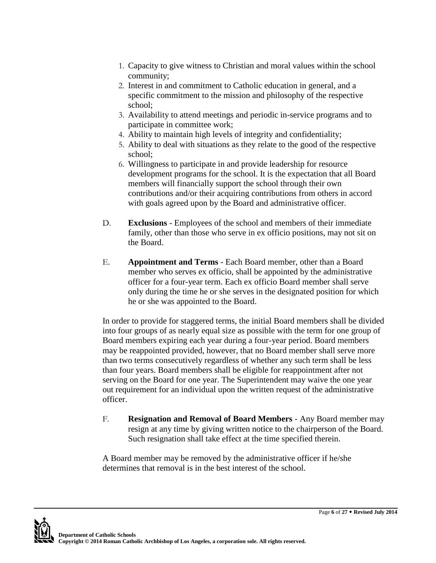- 1. Capacity to give witness to Christian and moral values within the school community;
- 2. Interest in and commitment to Catholic education in general, and a specific commitment to the mission and philosophy of the respective school;
- 3. Availability to attend meetings and periodic in-service programs and to participate in committee work;
- 4. Ability to maintain high levels of integrity and confidentiality;
- 5. Ability to deal with situations as they relate to the good of the respective school;
- 6. Willingness to participate in and provide leadership for resource development programs for the school. It is the expectation that all Board members will financially support the school through their own contributions and/or their acquiring contributions from others in accord with goals agreed upon by the Board and administrative officer.
- D. **Exclusions**  Employees of the school and members of their immediate family, other than those who serve in ex officio positions, may not sit on the Board.
- E. **Appointment and Terms**  Each Board member, other than a Board member who serves ex officio, shall be appointed by the administrative officer for a four-year term. Each ex officio Board member shall serve only during the time he or she serves in the designated position for which he or she was appointed to the Board.

In order to provide for staggered terms, the initial Board members shall be divided into four groups of as nearly equal size as possible with the term for one group of Board members expiring each year during a four-year period. Board members may be reappointed provided, however, that no Board member shall serve more than two terms consecutively regardless of whether any such term shall be less than four years. Board members shall be eligible for reappointment after not serving on the Board for one year. The Superintendent may waive the one year out requirement for an individual upon the written request of the administrative officer.

F. **Resignation and Removal of Board Members** - Any Board member may resign at any time by giving written notice to the chairperson of the Board. Such resignation shall take effect at the time specified therein.

A Board member may be removed by the administrative officer if he/she determines that removal is in the best interest of the school.

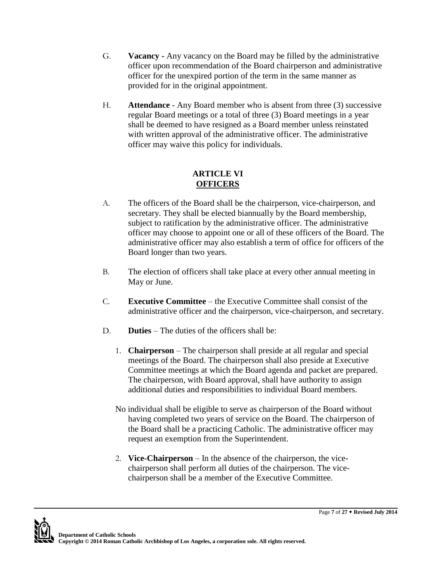- G. **Vacancy -** Any vacancy on the Board may be filled by the administrative officer upon recommendation of the Board chairperson and administrative officer for the unexpired portion of the term in the same manner as provided for in the original appointment.
- H. **Attendance**  Any Board member who is absent from three (3) successive regular Board meetings or a total of three (3) Board meetings in a year shall be deemed to have resigned as a Board member unless reinstated with written approval of the administrative officer. The administrative officer may waive this policy for individuals.

### **ARTICLE VI OFFICERS**

- A. The officers of the Board shall be the chairperson, vice-chairperson, and secretary. They shall be elected biannually by the Board membership, subject to ratification by the administrative officer. The administrative officer may choose to appoint one or all of these officers of the Board. The administrative officer may also establish a term of office for officers of the Board longer than two years.
- B. The election of officers shall take place at every other annual meeting in May or June.
- C. **Executive Committee** the Executive Committee shall consist of the administrative officer and the chairperson, vice-chairperson, and secretary.
- D. **Duties** The duties of the officers shall be:
	- 1. **Chairperson** The chairperson shall preside at all regular and special meetings of the Board. The chairperson shall also preside at Executive Committee meetings at which the Board agenda and packet are prepared. The chairperson, with Board approval, shall have authority to assign additional duties and responsibilities to individual Board members.
	- No individual shall be eligible to serve as chairperson of the Board without having completed two years of service on the Board. The chairperson of the Board shall be a practicing Catholic. The administrative officer may request an exemption from the Superintendent.
	- 2. **Vice-Chairperson** In the absence of the chairperson, the vicechairperson shall perform all duties of the chairperson. The vicechairperson shall be a member of the Executive Committee.

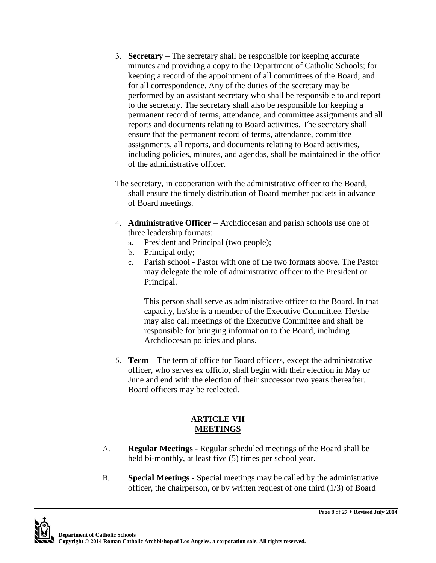- 3. **Secretary**  The secretary shall be responsible for keeping accurate minutes and providing a copy to the Department of Catholic Schools; for keeping a record of the appointment of all committees of the Board; and for all correspondence. Any of the duties of the secretary may be performed by an assistant secretary who shall be responsible to and report to the secretary. The secretary shall also be responsible for keeping a permanent record of terms, attendance, and committee assignments and all reports and documents relating to Board activities. The secretary shall ensure that the permanent record of terms, attendance, committee assignments, all reports, and documents relating to Board activities, including policies, minutes, and agendas, shall be maintained in the office of the administrative officer.
- The secretary, in cooperation with the administrative officer to the Board, shall ensure the timely distribution of Board member packets in advance of Board meetings.
- 4. **Administrative Officer** Archdiocesan and parish schools use one of three leadership formats:
	- a. President and Principal (two people);
	- b. Principal only;
	- c. Parish school Pastor with one of the two formats above. The Pastor may delegate the role of administrative officer to the President or Principal.

This person shall serve as administrative officer to the Board. In that capacity, he/she is a member of the Executive Committee. He/she may also call meetings of the Executive Committee and shall be responsible for bringing information to the Board, including Archdiocesan policies and plans.

5. **Term** – The term of office for Board officers, except the administrative officer, who serves ex officio, shall begin with their election in May or June and end with the election of their successor two years thereafter. Board officers may be reelected.

# **ARTICLE VII MEETINGS**

- A. **Regular Meetings**  Regular scheduled meetings of the Board shall be held bi-monthly, at least five (5) times per school year.
- B. **Special Meetings**  Special meetings may be called by the administrative officer, the chairperson, or by written request of one third (1/3) of Board

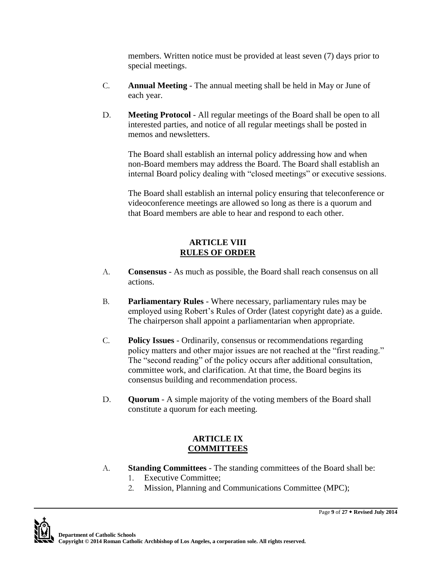members. Written notice must be provided at least seven (7) days prior to special meetings.

- C. **Annual Meeting**  The annual meeting shall be held in May or June of each year.
- D. **Meeting Protocol**  All regular meetings of the Board shall be open to all interested parties, and notice of all regular meetings shall be posted in memos and newsletters.

The Board shall establish an internal policy addressing how and when non-Board members may address the Board. The Board shall establish an internal Board policy dealing with "closed meetings" or executive sessions.

The Board shall establish an internal policy ensuring that teleconference or videoconference meetings are allowed so long as there is a quorum and that Board members are able to hear and respond to each other.

# **ARTICLE VIII RULES OF ORDER**

- A. **Consensus**  As much as possible, the Board shall reach consensus on all actions.
- B. **Parliamentary Rules**  Where necessary, parliamentary rules may be employed using Robert's Rules of Order (latest copyright date) as a guide. The chairperson shall appoint a parliamentarian when appropriate.
- C. **Policy Issues**  Ordinarily, consensus or recommendations regarding policy matters and other major issues are not reached at the "first reading." The "second reading" of the policy occurs after additional consultation, committee work, and clarification. At that time, the Board begins its consensus building and recommendation process.
- D. **Quorum**  A simple majority of the voting members of the Board shall constitute a quorum for each meeting.

# **ARTICLE IX COMMITTEES**

- A. **Standing Committees**  The standing committees of the Board shall be:
	- 1. Executive Committee;
	- 2. Mission, Planning and Communications Committee (MPC);

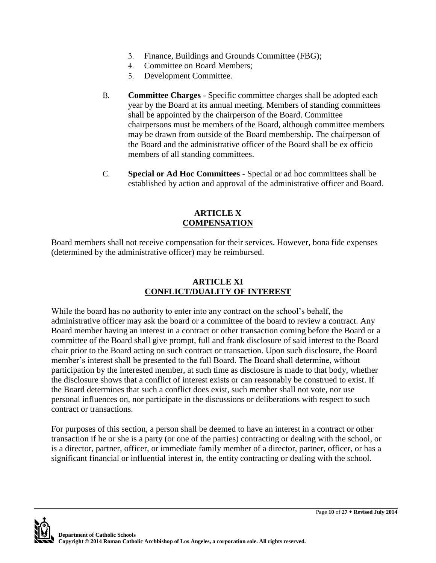- 3. Finance, Buildings and Grounds Committee (FBG);
- 4. Committee on Board Members;
- 5. Development Committee.
- B. **Committee Charges**  Specific committee charges shall be adopted each year by the Board at its annual meeting. Members of standing committees shall be appointed by the chairperson of the Board. Committee chairpersons must be members of the Board, although committee members may be drawn from outside of the Board membership. The chairperson of the Board and the administrative officer of the Board shall be ex officio members of all standing committees.
- C. **Special or Ad Hoc Committees**  Special or ad hoc committees shall be established by action and approval of the administrative officer and Board.

#### **ARTICLE X COMPENSATION**

Board members shall not receive compensation for their services. However, bona fide expenses (determined by the administrative officer) may be reimbursed.

### **ARTICLE XI CONFLICT/DUALITY OF INTEREST**

While the board has no authority to enter into any contract on the school's behalf, the administrative officer may ask the board or a committee of the board to review a contract. Any Board member having an interest in a contract or other transaction coming before the Board or a committee of the Board shall give prompt, full and frank disclosure of said interest to the Board chair prior to the Board acting on such contract or transaction. Upon such disclosure, the Board member's interest shall be presented to the full Board. The Board shall determine, without participation by the interested member, at such time as disclosure is made to that body, whether the disclosure shows that a conflict of interest exists or can reasonably be construed to exist. If the Board determines that such a conflict does exist, such member shall not vote, nor use personal influences on, nor participate in the discussions or deliberations with respect to such contract or transactions.

For purposes of this section, a person shall be deemed to have an interest in a contract or other transaction if he or she is a party (or one of the parties) contracting or dealing with the school, or is a director, partner, officer, or immediate family member of a director, partner, officer, or has a significant financial or influential interest in, the entity contracting or dealing with the school.

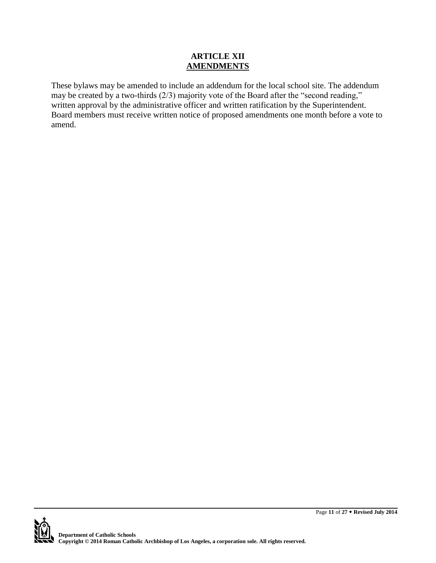### **ARTICLE XII AMENDMENTS**

These bylaws may be amended to include an addendum for the local school site. The addendum may be created by a two-thirds (2/3) majority vote of the Board after the "second reading," written approval by the administrative officer and written ratification by the Superintendent. Board members must receive written notice of proposed amendments one month before a vote to amend.

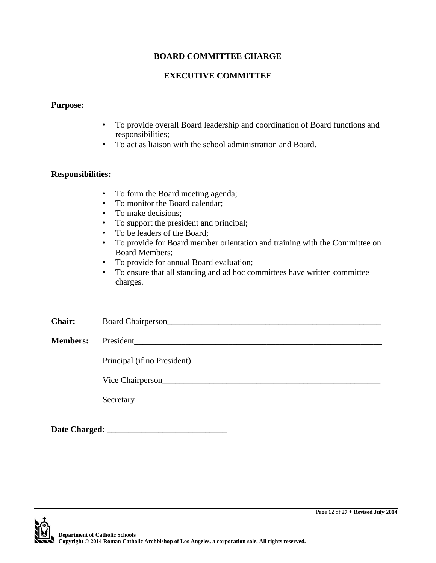### **EXECUTIVE COMMITTEE**

#### **Purpose:**

- To provide overall Board leadership and coordination of Board functions and responsibilities;
- To act as liaison with the school administration and Board.

#### **Responsibilities:**

- To form the Board meeting agenda;
- To monitor the Board calendar;
- To make decisions:
- To support the president and principal;
- To be leaders of the Board;
- To provide for Board member orientation and training with the Committee on Board Members;
- To provide for annual Board evaluation;
- To ensure that all standing and ad hoc committees have written committee charges.

| <b>Chair:</b>   | Board Chairperson<br><u>Leadenborn and Chairperson</u> |
|-----------------|--------------------------------------------------------|
| <b>Members:</b> |                                                        |
|                 |                                                        |
|                 |                                                        |
|                 |                                                        |
|                 |                                                        |
| Date Charged:   |                                                        |

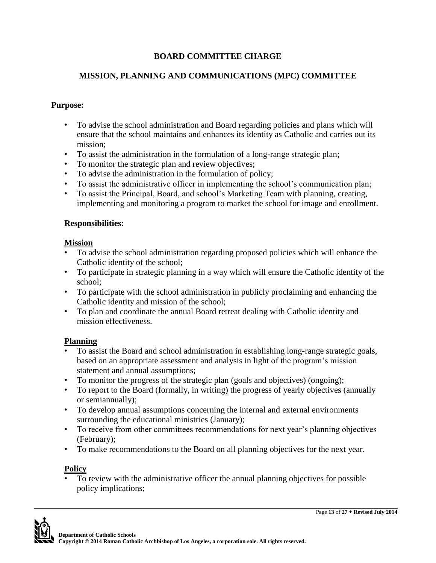# **MISSION, PLANNING AND COMMUNICATIONS (MPC) COMMITTEE**

# **Purpose:**

- To advise the school administration and Board regarding policies and plans which will ensure that the school maintains and enhances its identity as Catholic and carries out its mission;
- To assist the administration in the formulation of a long-range strategic plan;
- To monitor the strategic plan and review objectives;
- To advise the administration in the formulation of policy;
- To assist the administrative officer in implementing the school's communication plan;
- To assist the Principal, Board, and school's Marketing Team with planning, creating, implementing and monitoring a program to market the school for image and enrollment.

# **Responsibilities:**

# **Mission**

- To advise the school administration regarding proposed policies which will enhance the Catholic identity of the school;
- To participate in strategic planning in a way which will ensure the Catholic identity of the school;
- To participate with the school administration in publicly proclaiming and enhancing the Catholic identity and mission of the school;
- To plan and coordinate the annual Board retreat dealing with Catholic identity and mission effectiveness.

# **Planning**

- To assist the Board and school administration in establishing long-range strategic goals, based on an appropriate assessment and analysis in light of the program's mission statement and annual assumptions;
- To monitor the progress of the strategic plan (goals and objectives) (ongoing);
- To report to the Board (formally, in writing) the progress of yearly objectives (annually or semiannually);
- To develop annual assumptions concerning the internal and external environments surrounding the educational ministries (January);
- To receive from other committees recommendations for next year's planning objectives (February);
- To make recommendations to the Board on all planning objectives for the next year.

# **Policy**

• To review with the administrative officer the annual planning objectives for possible policy implications;

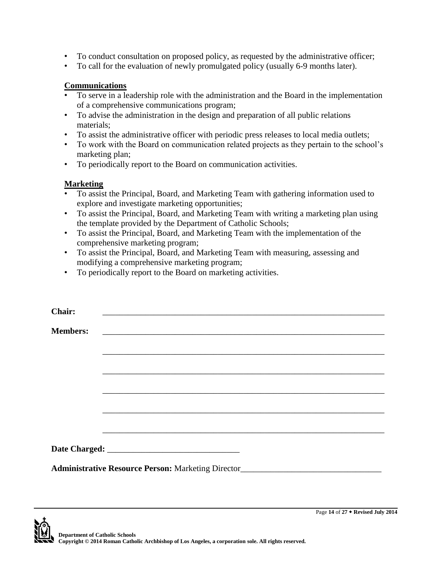- To conduct consultation on proposed policy, as requested by the administrative officer;
- To call for the evaluation of newly promulgated policy (usually 6-9 months later).

### **Communications**

- To serve in a leadership role with the administration and the Board in the implementation of a comprehensive communications program;
- To advise the administration in the design and preparation of all public relations materials;
- To assist the administrative officer with periodic press releases to local media outlets;
- To work with the Board on communication related projects as they pertain to the school's marketing plan;
- To periodically report to the Board on communication activities.

# **Marketing**

- To assist the Principal, Board, and Marketing Team with gathering information used to explore and investigate marketing opportunities;
- To assist the Principal, Board, and Marketing Team with writing a marketing plan using the template provided by the Department of Catholic Schools;
- To assist the Principal, Board, and Marketing Team with the implementation of the comprehensive marketing program;
- To assist the Principal, Board, and Marketing Team with measuring, assessing and modifying a comprehensive marketing program;
- To periodically report to the Board on marketing activities.

| <b>Chair:</b>   |                                                                                   |  |  |
|-----------------|-----------------------------------------------------------------------------------|--|--|
| <b>Members:</b> | <u> 1989 - Johann Stein, september 1989 - Amerikaansk politiker (</u>             |  |  |
|                 |                                                                                   |  |  |
|                 |                                                                                   |  |  |
|                 |                                                                                   |  |  |
|                 |                                                                                   |  |  |
|                 |                                                                                   |  |  |
|                 |                                                                                   |  |  |
|                 |                                                                                   |  |  |
|                 | Administrative Resource Person: Marketing Director_______________________________ |  |  |

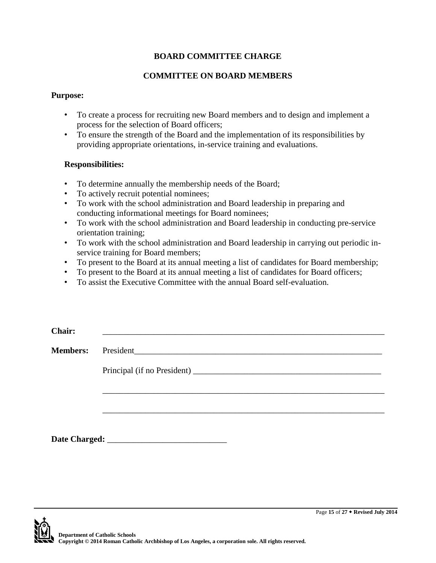## **COMMITTEE ON BOARD MEMBERS**

#### **Purpose:**

- To create a process for recruiting new Board members and to design and implement a process for the selection of Board officers;
- To ensure the strength of the Board and the implementation of its responsibilities by providing appropriate orientations, in-service training and evaluations.

### **Responsibilities:**

- To determine annually the membership needs of the Board;
- To actively recruit potential nominees;
- To work with the school administration and Board leadership in preparing and conducting informational meetings for Board nominees;
- To work with the school administration and Board leadership in conducting pre-service orientation training;
- To work with the school administration and Board leadership in carrying out periodic inservice training for Board members;
- To present to the Board at its annual meeting a list of candidates for Board membership;
- To present to the Board at its annual meeting a list of candidates for Board officers;
- To assist the Executive Committee with the annual Board self-evaluation.

| <b>Chair:</b>   |           |
|-----------------|-----------|
| <b>Members:</b> | President |
|                 |           |
|                 |           |
|                 |           |
|                 |           |
| Date Charged:   |           |

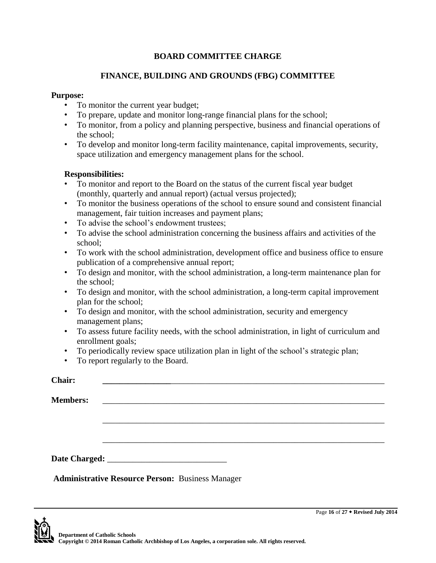### **FINANCE, BUILDING AND GROUNDS (FBG) COMMITTEE**

#### **Purpose:**

- To monitor the current year budget;
- To prepare, update and monitor long-range financial plans for the school;
- To monitor, from a policy and planning perspective, business and financial operations of the school;
- To develop and monitor long-term facility maintenance, capital improvements, security, space utilization and emergency management plans for the school.

### **Responsibilities:**

- To monitor and report to the Board on the status of the current fiscal year budget (monthly, quarterly and annual report) (actual versus projected);
- To monitor the business operations of the school to ensure sound and consistent financial management, fair tuition increases and payment plans;
- To advise the school's endowment trustees;
- To advise the school administration concerning the business affairs and activities of the school;
- To work with the school administration, development office and business office to ensure publication of a comprehensive annual report;
- To design and monitor, with the school administration, a long-term maintenance plan for the school;
- To design and monitor, with the school administration, a long-term capital improvement plan for the school;
- To design and monitor, with the school administration, security and emergency management plans;
- To assess future facility needs, with the school administration, in light of curriculum and enrollment goals;
- To periodically review space utilization plan in light of the school's strategic plan;
- To report regularly to the Board.

| <b>Chair:</b>   |  |  |  |
|-----------------|--|--|--|
| <b>Members:</b> |  |  |  |
|                 |  |  |  |
|                 |  |  |  |
|                 |  |  |  |
|                 |  |  |  |

**Administrative Resource Person:** Business Manager

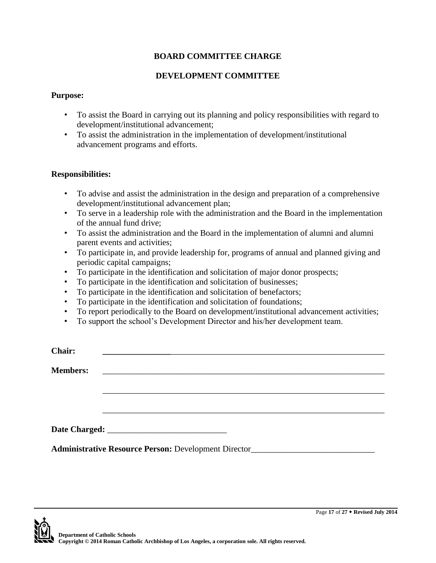## **DEVELOPMENT COMMITTEE**

#### **Purpose:**

- To assist the Board in carrying out its planning and policy responsibilities with regard to development/institutional advancement;
- To assist the administration in the implementation of development/institutional advancement programs and efforts.

#### **Responsibilities:**

- To advise and assist the administration in the design and preparation of a comprehensive development/institutional advancement plan;
- To serve in a leadership role with the administration and the Board in the implementation of the annual fund drive;
- To assist the administration and the Board in the implementation of alumni and alumni parent events and activities;
- To participate in, and provide leadership for, programs of annual and planned giving and periodic capital campaigns;
- To participate in the identification and solicitation of major donor prospects;
- To participate in the identification and solicitation of businesses;
- To participate in the identification and solicitation of benefactors;
- To participate in the identification and solicitation of foundations;
- To report periodically to the Board on development/institutional advancement activities;
- To support the school's Development Director and his/her development team.

| Chair:          |                                                                                           |  |  |
|-----------------|-------------------------------------------------------------------------------------------|--|--|
| <b>Members:</b> | the control of the control of the control of the control of the control of the control of |  |  |
|                 |                                                                                           |  |  |
|                 |                                                                                           |  |  |
|                 |                                                                                           |  |  |
|                 | Administrative Resource Person: Development Director____________________________          |  |  |

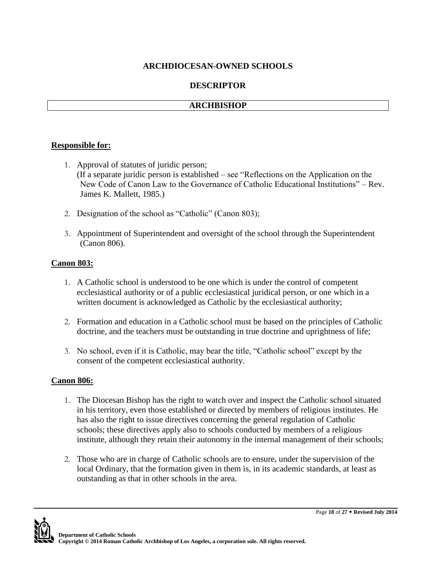### **DESCRIPTOR**

### **ARCHBISHOP**

#### **Responsible for:**

- 1. Approval of statutes of juridic person; (If a separate juridic person is established – see "Reflections on the Application on the New Code of Canon Law to the Governance of Catholic Educational Institutions" – Rev. James K. Mallett, 1985.)
- 2. Designation of the school as "Catholic" (Canon 803);
- 3. Appointment of Superintendent and oversight of the school through the Superintendent (Canon 806).

### **Canon 803:**

- 1. A Catholic school is understood to be one which is under the control of competent ecclesiastical authority or of a public ecclesiastical juridical person, or one which in a written document is acknowledged as Catholic by the ecclesiastical authority;
- 2. Formation and education in a Catholic school must be based on the principles of Catholic doctrine, and the teachers must be outstanding in true doctrine and uprightness of life;
- 3. No school, even if it is Catholic, may bear the title, "Catholic school" except by the consent of the competent ecclesiastical authority.

### **Canon 806:**

- 1. The Diocesan Bishop has the right to watch over and inspect the Catholic school situated in his territory, even those established or directed by members of religious institutes. He has also the right to issue directives concerning the general regulation of Catholic schools; these directives apply also to schools conducted by members of a religious institute, although they retain their autonomy in the internal management of their schools;
- 2. Those who are in charge of Catholic schools are to ensure, under the supervision of the local Ordinary, that the formation given in them is, in its academic standards, at least as outstanding as that in other schools in the area.

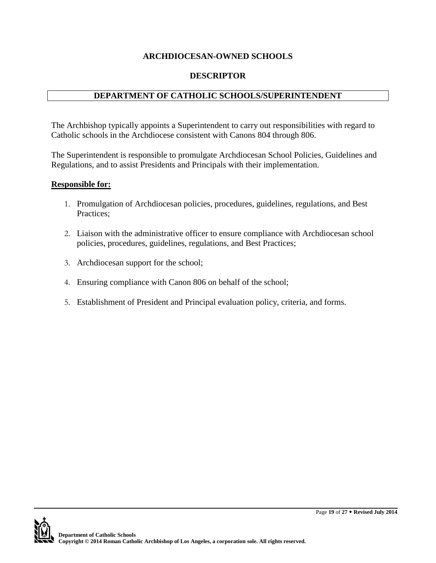## **DESCRIPTOR**

# **DEPARTMENT OF CATHOLIC SCHOOLS/SUPERINTENDENT**

The Archbishop typically appoints a Superintendent to carry out responsibilities with regard to Catholic schools in the Archdiocese consistent with Canons 804 through 806.

The Superintendent is responsible to promulgate Archdiocesan School Policies, Guidelines and Regulations, and to assist Presidents and Principals with their implementation.

### **Responsible for:**

- 1. Promulgation of Archdiocesan policies, procedures, guidelines, regulations, and Best Practices;
- 2. Liaison with the administrative officer to ensure compliance with Archdiocesan school policies, procedures, guidelines, regulations, and Best Practices;
- 3. Archdiocesan support for the school;
- 4. Ensuring compliance with Canon 806 on behalf of the school;
- 5. Establishment of President and Principal evaluation policy, criteria, and forms.

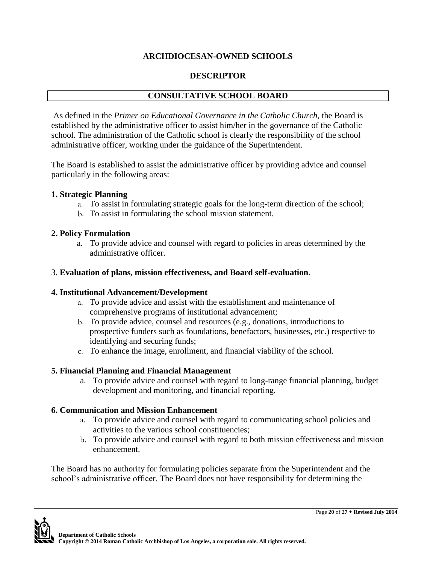## **DESCRIPTOR**

# **CONSULTATIVE SCHOOL BOARD**

As defined in the *Primer on Educational Governance in the Catholic Church*, the Board is established by the administrative officer to assist him/her in the governance of the Catholic school. The administration of the Catholic school is clearly the responsibility of the school administrative officer, working under the guidance of the Superintendent.

The Board is established to assist the administrative officer by providing advice and counsel particularly in the following areas:

### **1. Strategic Planning**

- a. To assist in formulating strategic goals for the long-term direction of the school;
- b. To assist in formulating the school mission statement.

#### **2. Policy Formulation**

a. To provide advice and counsel with regard to policies in areas determined by the administrative officer.

#### 3. **Evaluation of plans, mission effectiveness, and Board self-evaluation**.

### **4. Institutional Advancement/Development**

- a. To provide advice and assist with the establishment and maintenance of comprehensive programs of institutional advancement;
- b. To provide advice, counsel and resources (e.g., donations, introductions to prospective funders such as foundations, benefactors, businesses, etc.) respective to identifying and securing funds;
- c. To enhance the image, enrollment, and financial viability of the school.

### **5. Financial Planning and Financial Management**

a. To provide advice and counsel with regard to long-range financial planning, budget development and monitoring, and financial reporting.

### **6. Communication and Mission Enhancement**

- a. To provide advice and counsel with regard to communicating school policies and activities to the various school constituencies;
- b. To provide advice and counsel with regard to both mission effectiveness and mission enhancement.

The Board has no authority for formulating policies separate from the Superintendent and the school's administrative officer. The Board does not have responsibility for determining the

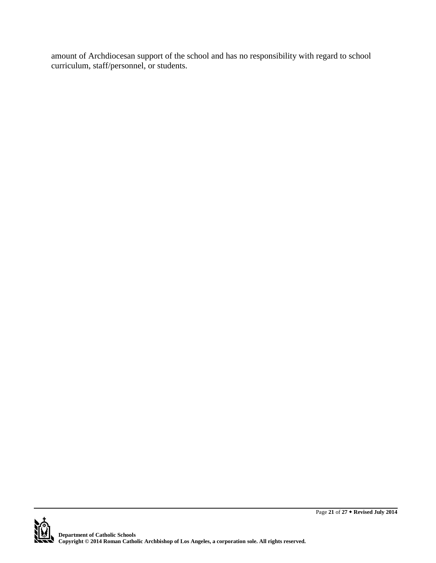amount of Archdiocesan support of the school and has no responsibility with regard to school curriculum, staff/personnel, or students.

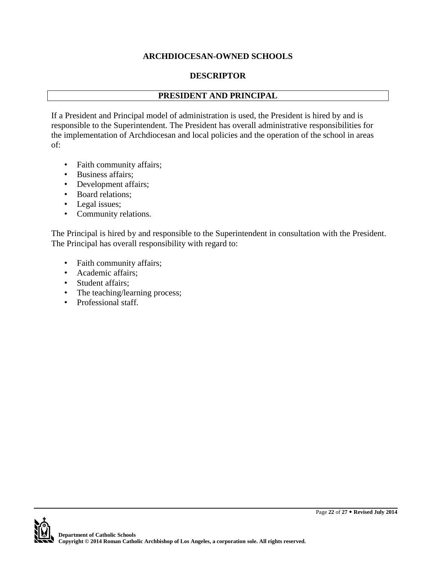### **DESCRIPTOR**

## **PRESIDENT AND PRINCIPAL**

If a President and Principal model of administration is used, the President is hired by and is responsible to the Superintendent. The President has overall administrative responsibilities for the implementation of Archdiocesan and local policies and the operation of the school in areas of:

- Faith community affairs;
- Business affairs;
- Development affairs;
- Board relations;
- Legal issues;
- Community relations.

The Principal is hired by and responsible to the Superintendent in consultation with the President. The Principal has overall responsibility with regard to:

- Faith community affairs;
- Academic affairs;
- Student affairs;
- The teaching/learning process;
- Professional staff.

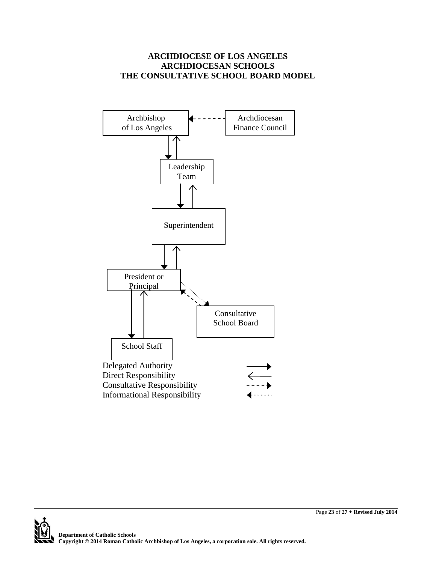### **ARCHDIOCESE OF LOS ANGELES ARCHDIOCESAN SCHOOLS THE CONSULTATIVE SCHOOL BOARD MODEL**



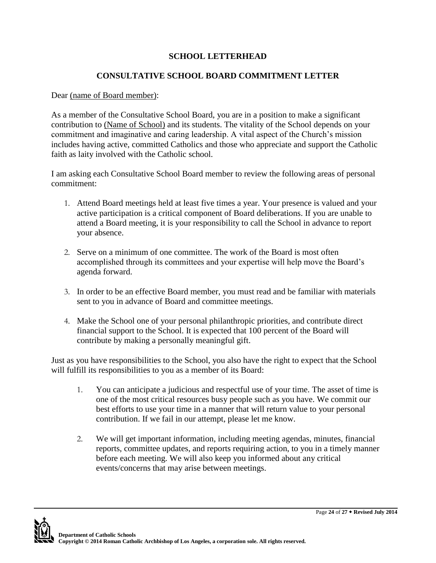# **SCHOOL LETTERHEAD**

## **CONSULTATIVE SCHOOL BOARD COMMITMENT LETTER**

#### Dear (name of Board member):

As a member of the Consultative School Board, you are in a position to make a significant contribution to (Name of School) and its students. The vitality of the School depends on your commitment and imaginative and caring leadership. A vital aspect of the Church's mission includes having active, committed Catholics and those who appreciate and support the Catholic faith as laity involved with the Catholic school.

I am asking each Consultative School Board member to review the following areas of personal commitment:

- 1. Attend Board meetings held at least five times a year. Your presence is valued and your active participation is a critical component of Board deliberations. If you are unable to attend a Board meeting, it is your responsibility to call the School in advance to report your absence.
- 2. Serve on a minimum of one committee. The work of the Board is most often accomplished through its committees and your expertise will help move the Board's agenda forward.
- 3. In order to be an effective Board member, you must read and be familiar with materials sent to you in advance of Board and committee meetings.
- 4. Make the School one of your personal philanthropic priorities, and contribute direct financial support to the School. It is expected that 100 percent of the Board will contribute by making a personally meaningful gift.

Just as you have responsibilities to the School, you also have the right to expect that the School will fulfill its responsibilities to you as a member of its Board:

- 1. You can anticipate a judicious and respectful use of your time. The asset of time is one of the most critical resources busy people such as you have. We commit our best efforts to use your time in a manner that will return value to your personal contribution. If we fail in our attempt, please let me know.
- 2. We will get important information, including meeting agendas, minutes, financial reports, committee updates, and reports requiring action, to you in a timely manner before each meeting. We will also keep you informed about any critical events/concerns that may arise between meetings.

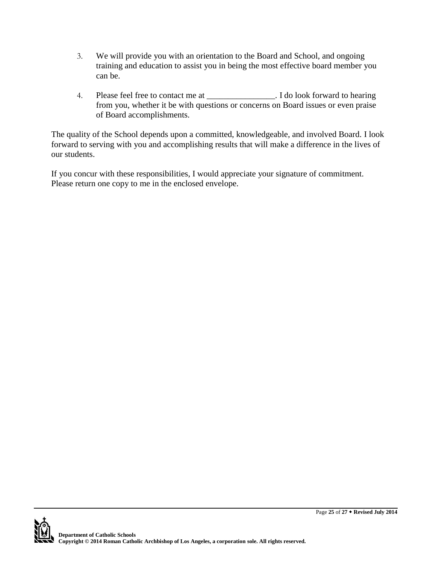- 3. We will provide you with an orientation to the Board and School, and ongoing training and education to assist you in being the most effective board member you can be.
- 4. Please feel free to contact me at \_\_\_\_\_\_\_\_\_\_\_\_\_\_\_\_. I do look forward to hearing from you, whether it be with questions or concerns on Board issues or even praise of Board accomplishments.

The quality of the School depends upon a committed, knowledgeable, and involved Board. I look forward to serving with you and accomplishing results that will make a difference in the lives of our students.

If you concur with these responsibilities, I would appreciate your signature of commitment. Please return one copy to me in the enclosed envelope.

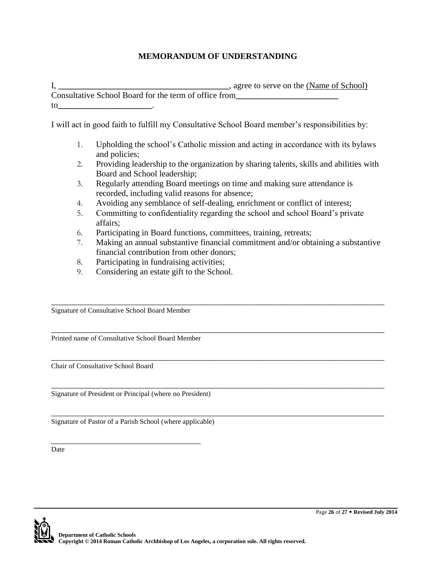# **MEMORANDUM OF UNDERSTANDING**

I, **\_\_\_\_\_\_\_\_\_\_\_\_\_\_\_\_\_\_\_\_\_\_\_\_\_\_\_\_\_\_\_\_\_\_\_\_\_\_\_\_**, agree to serve on the (Name of School) Consultative School Board for the term of office from**\_\_\_\_\_\_\_\_\_\_\_\_\_\_\_\_\_\_\_\_\_\_\_\_**  to**\_\_\_\_\_\_\_\_\_\_\_\_\_\_\_\_\_\_\_\_\_\_**.

I will act in good faith to fulfill my Consultative School Board member's responsibilities by:

- 1. Upholding the school's Catholic mission and acting in accordance with its bylaws and policies;
- 2. Providing leadership to the organization by sharing talents, skills and abilities with Board and School leadership;
- 3. Regularly attending Board meetings on time and making sure attendance is recorded, including valid reasons for absence;
- 4. Avoiding any semblance of self-dealing, enrichment or conflict of interest;
- 5. Committing to confidentiality regarding the school and school Board's private affairs;

\_\_\_\_\_\_\_\_\_\_\_\_\_\_\_\_\_\_\_\_\_\_\_\_\_\_\_\_\_\_\_\_\_\_\_\_\_\_\_\_\_\_\_\_\_\_\_\_\_\_\_\_\_\_\_\_\_\_\_\_\_\_\_\_\_\_\_\_\_\_\_\_\_\_\_\_\_\_

\_\_\_\_\_\_\_\_\_\_\_\_\_\_\_\_\_\_\_\_\_\_\_\_\_\_\_\_\_\_\_\_\_\_\_\_\_\_\_\_\_\_\_\_\_\_\_\_\_\_\_\_\_\_\_\_\_\_\_\_\_\_\_\_\_\_\_\_\_\_\_\_\_\_\_\_\_\_

\_\_\_\_\_\_\_\_\_\_\_\_\_\_\_\_\_\_\_\_\_\_\_\_\_\_\_\_\_\_\_\_\_\_\_\_\_\_\_\_\_\_\_\_\_\_\_\_\_\_\_\_\_\_\_\_\_\_\_\_\_\_\_\_\_\_\_\_\_\_\_\_\_\_\_\_\_\_

\_\_\_\_\_\_\_\_\_\_\_\_\_\_\_\_\_\_\_\_\_\_\_\_\_\_\_\_\_\_\_\_\_\_\_\_\_\_\_\_\_\_\_\_\_\_\_\_\_\_\_\_\_\_\_\_\_\_\_\_\_\_\_\_\_\_\_\_\_\_\_\_\_\_\_\_\_\_

- 6. Participating in Board functions, committees, training, retreats;
- 7. Making an annual substantive financial commitment and/or obtaining a substantive financial contribution from other donors;
- 8. Participating in fundraising activities;
- 9. Considering an estate gift to the School.

Signature of Consultative School Board Member

Printed name of Consultative School Board Member

Chair of Consultative School Board

Signature of President or Principal (where no President)

\_\_\_\_\_\_\_\_\_\_\_\_\_\_\_\_\_\_\_\_\_\_\_\_\_\_\_\_\_\_\_\_\_\_\_\_\_\_\_\_\_\_\_\_\_\_\_\_\_\_\_\_\_\_\_\_\_\_\_\_\_\_\_\_\_\_\_\_\_\_\_\_\_\_\_\_\_\_ Signature of Pastor of a Parish School (where applicable)

\_\_\_\_\_\_\_\_\_\_\_\_\_\_\_\_\_\_\_\_\_\_\_\_\_\_\_\_\_\_\_\_\_\_\_ **Date**